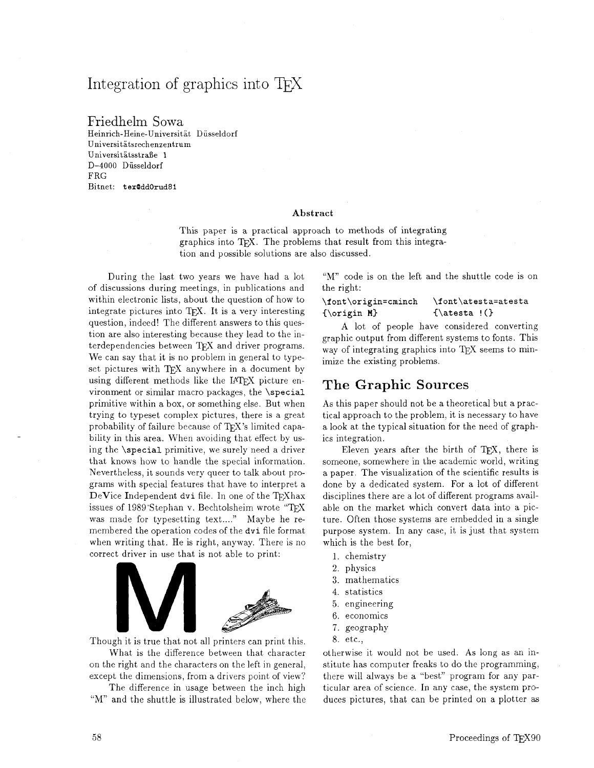# Integration of graphics into TFX

Friedhelm Sowa

Heinrich-Heine-Universitat Diisseldorf Universitatsrechenzentrum Universitätsstraße 1 D-4000 Diisseldorf FRG Bitnet: **texOddOrud8i** 

#### **Abstract**

This paper is a practical approach to methods of integrating graphics into TEX. The problems that result from this integration and possible solutions are also discussed.

During the last two years we have had a lot of discussions during meetings, in publications and within electronic lists, about the question of how to integrate pictures into TFX. It is a very interesting question, indeed! The different answers to this question are also interesting because they lead to the interdependencies between  $T_F X$  and driver programs. We can say that it is no problem in general to typeset pictures with TFX anywhere in a document by using different methods like the IATFX picture environment or similar macro packages, the \special primitive within a box, or something else. But when trying to typeset complex pictures, there is a great probability of failure because of  $T_F X$ 's limited capability in this area. When avoiding that effect by using the \special primitive, we surely need a driver that knows how to handle the special information. Nevertheless, it sounds very queer to talk about programs with special features that have to interpret a  $DeVice Independent$  dvi file. In one of the TEXhax issues of 1989'Stephan v. Bechtolsheim wrote "TFX was made for typesetting text...." Maybe he remembered the operation codes of the dvi file format when writing that. He is right, anyway. There is no correct driver in use that is not able to print:



Though it is true that not all printers can print this.  $8.$  etc., What is the difference between that character otherwise it would not be used. As long as an in-

except the dimensions, from a drivers point of view? there will always be a "best" program for any par-

"M" and the shuttle is illustrated below, where the duces pictures, that can be printed on a plotter as

"M" code is on the left and the shuttle code is on the right:

#### \font\origin=cminch \font\atesta=atesta  ${\sqrt{N}}$  {\atesta ! (}

A lot of people have considered converting graphic output from different systems to fonts. This way of integrating graphics into TFX seems to minimize the existing problems.

### The Graphic Sources

As this paper should not be a theoretical but a practical approach to the problem, it is necessary to have a look at the typical situation for the need of graphics integration.

Eleven years after the birth of TEX, there is someone, somewhere in the academic world, writing a paper. The visualization of the scientific results is done by a dedicated system. For a lot of different disciplines there are a lot of different programs available on the market which convert data into a picture. Often those systems are embedded in a single purpose system. In any case, it is just that system which is the best for,

- 1. chemistry
- 2. physics
- **3.** mathematics
- 4. statistics
- 5. engineering
- 6, economics
- 7. geography
- 

on the right and the characters on the left in general, stitute has computer freaks to do the programming, The difference in usage between the inch high ticular area of science. In any case, the system pro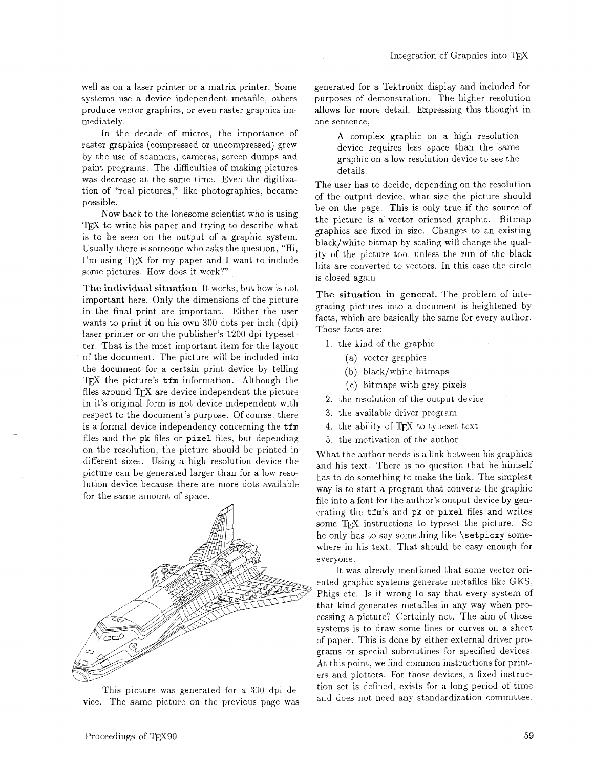well as on a laser printer or a matrix printer. Some systems use a device independent metafile, others produce vector graphics, or even raster graphics immediately.

In the decade of micros, the importance of raster graphics (compressed or uncompressed) grew by the use of scanners, cameras, screen dumps and paint programs. The difficulties of making pictures was decrease at the same time. Even the digitization of "real pictures," like photographies, became possible.

Now back to the lonesome scientist who is using TFX to write his paper and trying to describe what is to be seen on the output of a graphic system. Usually there is someone who asks the question, "Hi, I'm using T<sub>F</sub>X for my paper and I want to include some pictures. How does it work?'

The individual situation It works, but how is not important here. Only the dimensions of the picture in the final print are important. Either the user wants to print it on his own 300 dots per inch (dpi) laser printer or on the publisher's 1200 dpi typesetter. That is the most important item for the layout of the document. The picture will be included into the document for a certain print device by telling TFX the picture's  $t$ fm information. Although the files around TFX are device independent the picture in it's original form is not device independent with respect to the document's purpose. Of course, there is a formal device independency concerning the tfm files and the pk files or pixel files, but depending on the resolution, the picture should be printed in different sizes. Using a high resolution device the picture can be generated larger than for a low resolution device because there are more dots available for the same amount of space.



This picture was generated for a 300 dpi device. The same picture on the previous page was

generated for a Tektronix display and included for purposes of demonstration. The higher resolution allows for more detail. Expressing this thought in one sentence,

A complex graphic on a high resolution device requires less space than the same graphic on a low resolution device to see the details.

The user has to decide, depending on the resolution of the output device, what size the picture should be on the page. This is only true if the source of the picture is a vector oriented graphic. Bitmap graphics are fixed in size. Changes to an existing black/white bitmap by scaling will change the quality of the picture too, unless the run of the black bits are converted to vectors. In this case the circle is closed again.

The situation in general. The problem of integrating pictures into a document is heightened by facts, which are basically the same for every author. Those facts are:

- I. the kind of the graphic
	- (a) vector graphics
	- $(b)$  black/white bitmaps
	- (c) bitmaps with grey pixels
- 2. the resolution of the output device
- 3. the available driver program
- 4. the ability of TEX to typeset text
- 5. the motivation of the author

What the author needs is a link between his graphics and his text. There is no question that he himself has to do something to make the link. The simplest way is to start a program that converts the graphic file into a font for the author's output device by generating the tfm's and pk or pixel files and writes some TEX instructions to typeset the picture. So he only has to say something like \setpicxy somewhere in his text. That should be easy enough for everyone.

It was already mentioned that some vector oriented graphic systems generate metafiles like GKS, Phigs etc. Is it wrong to say that every system of that kind generates metafiles in any way when processing a picture? Certainly not. The aim of those systems is to draw some lines or curves on a sheet of paper. This is done by either external driver programs or special subroutines for specified devices. At this point, we find common instructions for printers and plotters. For those devices, a fixed instruction set is defined, exists for a long period of time and does not need any standardization committee.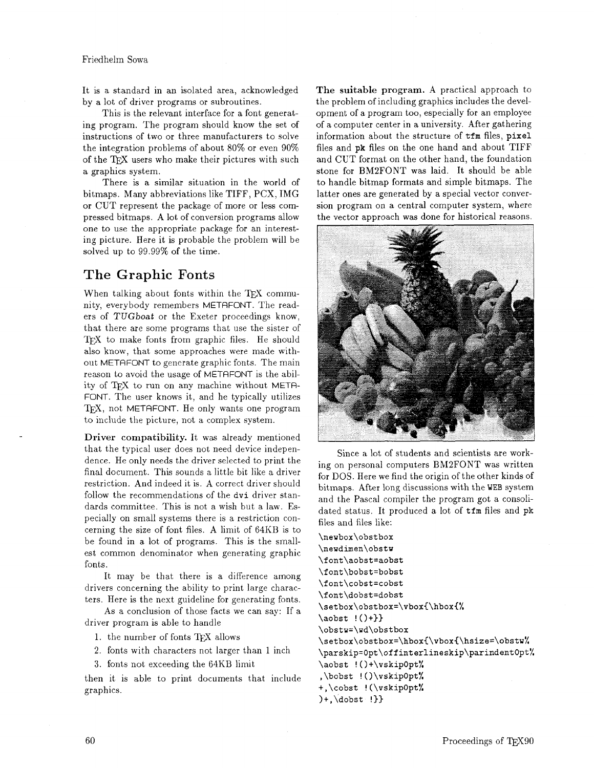It is a standard in an isolated area, acknowledged by a lot of driver programs or subroutines.

This is the relevant interface for a font generating program. The program should know the set of instructions of two or three manufacturers to solve the integration problems of about 80% or even 90% of the TEX users who make their pictures with such a graphics system.

There is a similar situation in the world of bitmaps. Many abbreviations like TIFF, PCX, IMG or CUT represent the package of more or less compressed bitmaps. **A** lot of conversion programs allow one to use the appropriate package for an interesting picture. Here it is probable the problem will be solved up to 99.99% of the time.

## The **Graphic** Fonts

When talking about fonts within the TFX community, everybody remembers METAFONT. The readers of *TUGboat* or the Exeter proceedings know, that there are some programs that use the sister of TEX to make fonts from graphic files. He should also know, that some approaches were made without METAFONT to generate graphic fonts. The main reason to avoid the usage of METAFONT is the ability of TFX to run on any machine without META-FONT. The user knows it, and he typically utilizes TFX, not METAFONT. He only wants one program to include the picture, not a complex system.

**Driver compatibility.** It was already mentioned that the typical user does not need device independence. He only needs the driver selected to print the final document. This sounds a little bit like a driver restriction. And indeed it is. A correct driver should follow the recommendations of the **dvi** driver standards committee. This is not a wish but a law. Especially on small systems there is a restriction concerning the size of font files. A limit of 64KB is to be found in a lot of programs. This is the smallest common denominator when generating graphic fonts.

It may be that there is a difference among drivers concerning the ability to print large characters. Here is the next guideline for generating fonts.

As a conclusion of those facts we can say: If a driver program is able to handle

1. the number of fonts TFX allows

2. fonts with characters not larger than 1 inch

**3.** fonts not exceeding the 64KB limit

then it is able to print documents that include graphics.

**The suitable program.** A practical approach to the problem of including graphics includes the development of a program too, especially for an employee of a computer center in a university. After gathering information about the structure of **tfm** files, **pixel**  files and **pk** files on the one hand and about TIFF and CUT format on the other hand, the foundation stone for BM2FONT was laid. It should be able to handle bitmap formats and simple bitmaps. The latter ones are generated by a special vector conversion program on a central computer system, where the vector approach was done for historical reasons.



Since a lot of students and scientists are working on personal computers BM2FONT was written for DOS. Here we find the origin of the other kinds of bitmaps. After long discussions with the WEB system and the Pascal compiler the program got a consolidated status. It produced a lot of **tfm** files and **pk**  files and files like:

\newbox\obstbox \newdimen\obstw \font\aobst=aobst \font\bobst=bobst \font\cobst=cobst \font\dobst=dobst \setbox\obstbox=\vbox{\hbox{%  $\aobst$   $\{\)+\}$ \obstw=\wd\obstbox \setbox\obstbox=\hbox{\vbox{\hsize=\obstw% \parskip=0pt\offinterlineskip\parindent0pt% \aobst !()+\vskip0pt% ,\bobst !()\vskip0pt% +,\cobst !(\vskip0pt%  $)+$ , dobst  $!\}$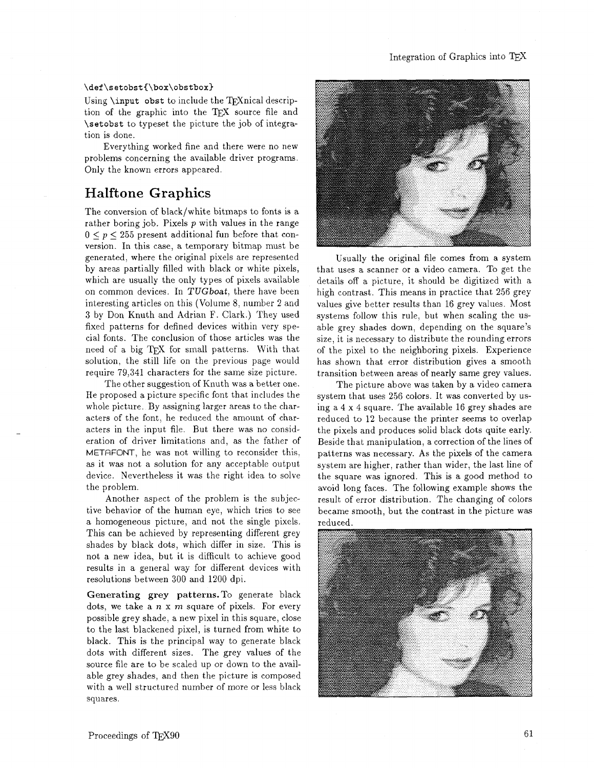### Integration of Graphics into

#### \def\setobst{\box\obstbox}

Using  $\infty$  obst to include the TEX nical description of the graphic into the TEX source file and \setobst to typeset the picture the job of integration is done.

Everything worked fine and there were no new problems concerning the available driver programs. Only the known errors appeared.

## **Halftone Graphics**

The conversion of black/white bitmaps to fonts is a rather boring job. Pixels  $p$  with values in the range  $0 \leq p \leq 255$  present additional fun before that conversion. In this case, a temporary bitmap must be generated, where the original pixels are represented by areas partially filled with black or white pixels, which are usually the only types of pixels available on common devices. In *TUGboat,* there have been interesting articles on this (Volume 8, number 2 and **3** by Don Knuth and Adrian F. Clark.) They used fixed patterns for defined devices within very special fonts. The conclusion of those articles was the need of a big TFX for small patterns. With that solution, the still life on the previous page would require 79,341 characters for the same size picture.

The other suggestion of Knuth was a better one. He proposed a picture specific font that includes the whole picture. By assigning larger areas to the characters of the font, he reduced the amount of characters in the input file. But there was no consideration of driver limitations and, as the father of METAFONT, he was not willing to reconsider this, as it was not a solution for any acceptable output device. Nevertheless it was the right idea to solve the problem.

Another aspect of the problem is the subjective behavior of the human eye, which tries to see a homogeneous picture, and not the single pixels. This can be achieved by representing different grey shades by black dots, which differ in size. This is not a new idea, but it is difficult to achieve good results in a general way for different devices with resolutions between 300 and 1200 dpi.

Generating grey patterns. To generate black dots, we take a  $n \times m$  square of pixels. For every possible grey shade, a new pixel in this square, close to the last blackened pixel, is turned from white to black. This is the principal way to generate black dots with different sizes. The grey values of the source file are to be scaled up or down to the available grey shades, and then the picture is composed with a well structured number of more or less black squares.



Usually the original file comes from a system that uses a scanner or a video camera. To get the details off a picture, it should be digitized with a high contrast. This means in practice that 256 grey values give better results than 16 grey values. Most systems follow this rule, but when scaling the usable grey shades down, depending on the square's size, it is necessary to distribute the rounding errors of the pixel to the neighboring pixels. Experience has shown that error distribution gives a smooth transition between areas of nearly same grey values.

The picture above was taken by a video camera system that uses 256 colors. It **was** converted by using a 4 x 4 square. The available 16 grey shades are reduced to 12 because the printer seems to overlap the pixels and produces solid black dots quite early. Beside that manipulation, a correction of the lines of patterns was necessary. As the pixels of the camera system are higher, rather than wider, the last line of the square was ignored. This is a good method to avoid long faces. The following example shows the result of error distribution. The changing of colors became smooth, but the contrast in the picture was reduced.

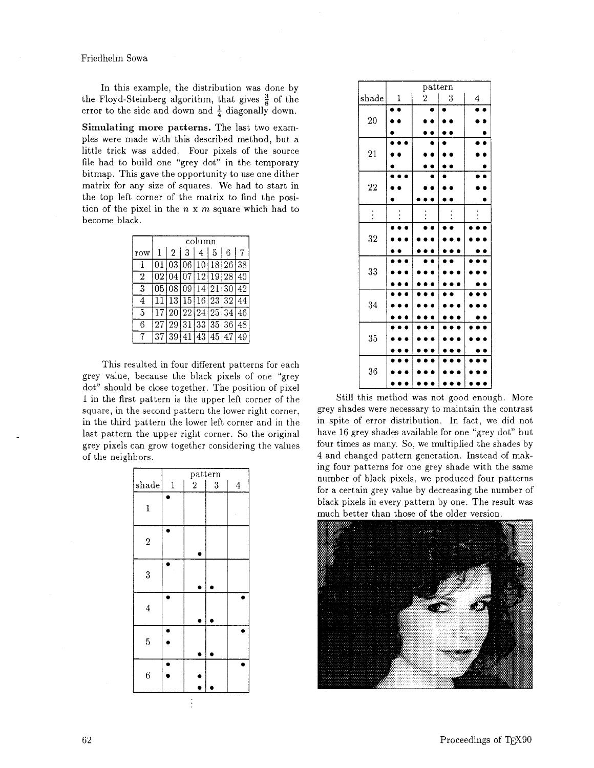Friedhelm Sowa

In this example, the distribution was done by the Floyd-Steinberg algorithm, that gives  $\frac{3}{8}$  of the error to the side and down and  $\frac{1}{4}$  diagonally down.

Simulating more patterns. The last two examples were made with this described method, but a little trick was added. Four pixels of the source file had to build one "grey dot" in the temporary bitmap. This gave the opportunity to use one dither matrix for any size of squares. We had to start in the top left corner of the matrix to find the position of the pixel in the  $n \times m$  square which had to become black.

|     | column |                |                                |   |             |   |    |
|-----|--------|----------------|--------------------------------|---|-------------|---|----|
| row |        | 2 <sup>1</sup> | 3                              | 4 | $5^{\circ}$ | 6 |    |
|     |        |                | 01 03 06 10 18 26              |   |             |   | 38 |
| 2   |        |                | $\overline{02 04 07 12 19 28}$ |   |             |   | 40 |
| 3   |        |                | 05 08 09 14 21 30              |   |             |   | 42 |
| 4   |        |                | 11 13 15 16 23 32              |   |             |   |    |
| 5   |        |                | 17 20 22 24 25 34              |   |             |   |    |
| 6   |        |                | 27 29 31 33 35 36              |   |             |   | 48 |
|     | 37     |                | 39 41 43 45 47                 |   |             |   |    |

This resulted in four different patterns for each grey value, because the black pixels of one "grey dot" should be close together. The position of pixel 1 in the first pattern is the upper left corner of the square, in the second pattern the lower right corner, in the third pattern the lower left corner and in the last pattern the upper right corner. So the original grey pixels can grow together considering the values of the neighbors.

|                         | pattern |                  |                  |                |  |  |
|-------------------------|---------|------------------|------------------|----------------|--|--|
| shade                   | $\,1\,$ | $\boldsymbol{2}$ | $\boldsymbol{3}$ | $\overline{4}$ |  |  |
| $\mathbf{1}$            |         |                  |                  |                |  |  |
| $\overline{2}$          |         |                  |                  |                |  |  |
| $\overline{\mathbf{3}}$ |         |                  |                  |                |  |  |
| $\overline{4}$          |         |                  |                  |                |  |  |
| 5                       |         |                  |                  |                |  |  |
| 6                       |         |                  |                  |                |  |  |

|           | pattern      |                  |   |                  |  |  |  |
|-----------|--------------|------------------|---|------------------|--|--|--|
| shade     | $\mathbf{1}$ | $\boldsymbol{2}$ | 3 | $\boldsymbol{4}$ |  |  |  |
|           |              | $\bullet$        |   |                  |  |  |  |
| <b>20</b> |              |                  |   |                  |  |  |  |
|           |              |                  |   |                  |  |  |  |
| <b>21</b> |              |                  |   |                  |  |  |  |
|           |              |                  |   |                  |  |  |  |
|           |              |                  |   |                  |  |  |  |
| 22        |              |                  |   |                  |  |  |  |
|           |              |                  |   |                  |  |  |  |
|           |              |                  |   |                  |  |  |  |
| ։         |              |                  |   |                  |  |  |  |
| 32        |              |                  |   |                  |  |  |  |
|           |              |                  |   |                  |  |  |  |
|           |              |                  |   |                  |  |  |  |
| 33        |              |                  |   |                  |  |  |  |
|           |              |                  |   |                  |  |  |  |
|           |              |                  |   |                  |  |  |  |
| 34        |              |                  |   |                  |  |  |  |
|           |              |                  |   |                  |  |  |  |
|           |              |                  |   |                  |  |  |  |
| 35        |              |                  |   |                  |  |  |  |
|           |              |                  |   |                  |  |  |  |
| 36        |              |                  |   |                  |  |  |  |
|           |              |                  |   |                  |  |  |  |
|           |              |                  |   |                  |  |  |  |

Still this method was not good enough. More grey shades were necessary to maintain the contrast in spite of error distribution. In fact, we did not have 16 grey shades available for one "grey dot" but four times as many. So, we multiplied the shades by 4 and changed pattern generation. Instead of making four patterns for one grey shade with the same number of black pixels, we produced four patterns for a certain grey value by decreasing the number of black pixels in every pattern by one. The result was much better than those of the older version.